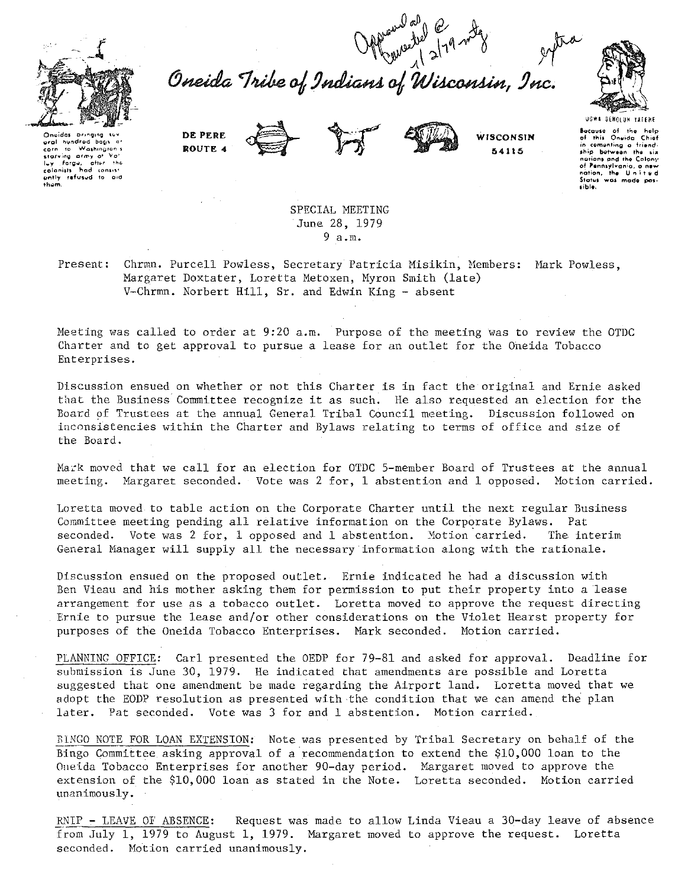

Offerward Operation of 219 mg<br>Oneida Tribe of Indians of Wisconsin, Inc.



Onaidas bringing suv<br>aral hundred bags a carn to Washington's starving army of iy will be<br>lighter the luy farge, after the<br>colonists had consist<br>ently refused to aid colonists

DE PERE ROUTE 4



WISCONSIN 54115

UGWA BEHOLUN YATEHE Because of the help<br>of this Oneida Chief in comenting a friend-<br>ship between the six nations and the Colony of Pennsylvania, a new<br>nation, the United<br>Status was made possible.

SPECIAL MEETING June 28, 1979  $9a.m.$ 

Present: Chrmn. Purcell Powless, Secretary Patricia Misikin, Members: Mark Powless, Margaret Doxtater, Loretta Metoxen, Myron Smith (late) V-Chrmn. Norbert Hill, Sr. and Edwin King - absent

Meeting was called to order at 9:20 a.m. Purpose of the meeting was to review the OTDC Charter and to get approval to pursue a lease for an outlet for the Oneida Tobacco Enterprises.

Discussion ensued on whether or not this Charter is in fact the original and Ernie asked that the Business Committee recognize it as such. He also requested an election for the Board of Trustees at the annual General Tribal Council meeting. Discussion followed on inconsistencies within the Charter and Bylaws relating to terms of office and size of the Board.

Mark moved that we call for an election for OTDC 5-member Board of Trustees at the annual meeting. Margaret seconded. Vote was 2 for, 1 abstention and 1 opposed. Motion carried.

Loretta moved to table action on the Corporate Charter until the next regular Business Committee meeting pending all relative information on the Corporate Bylaws. Pat seconded. Vote was 2 for, 1 opposed and 1 abstention. Motion carried. The interim General Manager will supply all the necessary information along with the rationale.

Discussion ensued on the proposed outlet. Ernie indicated he had a discussion with Ben Vieau and his mother asking them for permission to put their property into a lease arrangement for use as a tobacco outlet. Loretta moved to approve the request directing Ernie to pursue the lease and/or other considerations on the Violet Hearst property for purposes of the Oneida Tobacco Enterprises. Mark seconded. Motion carried.

PLANNING OFFICE: Carl presented the OEDP for 79-81 and asked for approval. Deadline for submission is June 30, 1979. He indicated that amendments are possible and Loretta suggested that one amendment be made regarding the Airport land. Loretta moved that we adopt the EODP resolution as presented with the condition that we can amend the plan later. Pat seconded. Vote was 3 for and 1 abstention. Motion carried.

BINGO NOTE FOR LOAN EXTENSION: Note was presented by Tribal Secretary on behalf of the Bingo Committee asking approval of a recommendation to extend the \$10,000 loan to the Oneida Tobacco Enterprises for another 90-day period. Margaret moved to approve the extension of the \$10,000 loan as stated in the Note. Loretta seconded. Motion carried unanimously.

Request was made to allow Linda Vieau a 30-day leave of absence RNIP - LEAVE OF ABSENCE: from July 1, 1979 to August 1, 1979. Margaret moved to approve the request. Loretta seconded. Motion carried unanimously.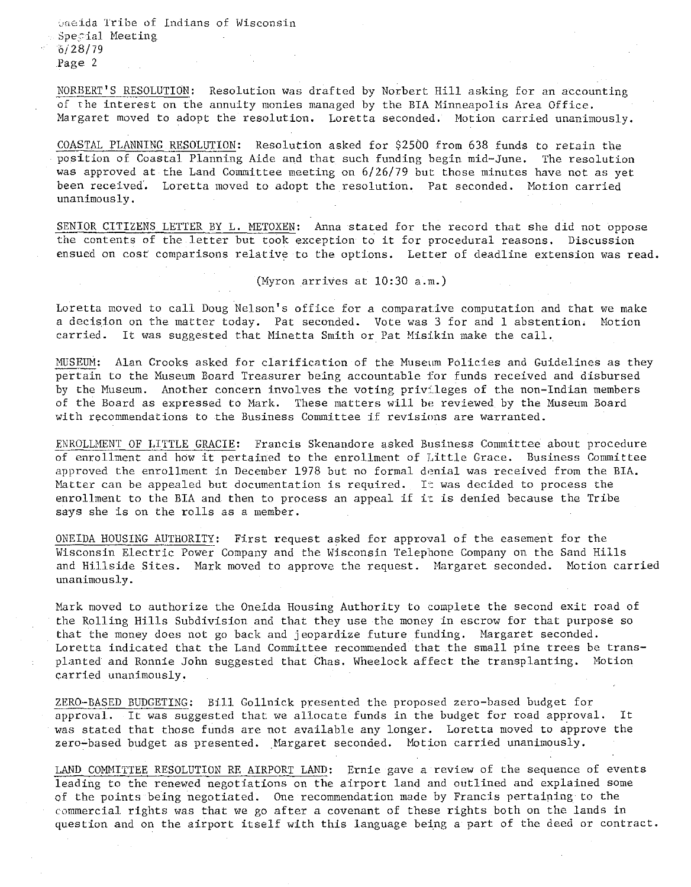**c,\_,neida Tribe of Indians of Wisconsin**  Special Meeting  $6/28/79$ Page 2

NORBERT'S RESOLUTION: Resolution was drafted by Norbert Hill asking for an accounting of the interest on the annuity monies managed by the BIA Minneapolis Area Office. Margaret moved to adopt the resolution. Loretta seconded. Motion carried unanimously.

COASTAL PLANNING RESOLUTION: Resolution asked for \$2500 from 638 funds to retain the position of Coastal Planning Aide and that such funding begin mid-June. The resolution was approved at the Land Committee meeting on 6/26/79 but those minutes have not as yet been received. Loretta moved to adopt the resolution. Pat seconded. Motion carried **unanimously.** 

SENIOR CITIZENS LETTER BY L. METOXEN: Anna stated for the record that she did not oppose the contents of the letter but took exception to it for procedural reasons. Discussion ensued on cost comparisons relative to the options. Letter of deadline extension was read.

(Myron arrives at  $10:30$  a.m.)

Loretta moved to call Doug Nelson's office for a comparative computation and that **we make**  a decision on the matter today. Pat seconded. Vote was 3 for and l abstention. Motion carried. It was suggested that Minetta Smith or Pat Misikin make the call.

MUSEUM: Alan Crooks asked for clarification of the Museum Policies and Guidelines as they pertain to the Museum Board Treasurer being accountable for funds received and disbursed by the Museum. Another concern involves the voting privileges of the non-Indian members of the Board as expressed to Mark. These matters will be reviewed by the Museum Board with recommendations to the Business Committee if revisions are warranted.

ENROLLMENT OF LITTLE GRACIE: Francis Skenandore asked Business Committee about procedure of enrollment and how it pertained to the enrollment of Little Grace. Business Committee approved the enrollment in December 1978 but no formal denial was received from the BIA. Matter can be appealed but documentation is required. It was decided to process the enrollment to the BIA and then to process an appeal if it is denied because the Tribe says she is on the rolls as a member.

ONEIDA HOUSING AUTHORITY: First request asked for approval of the easement for the Wisconsin Electric Power Company and the Wisconsin Telephone Company on the Sand Hills and Hillside Sites. Mark moved to approve the request. Margaret seconded. Motion carried **unanimously.** 

Mark moved to authorize the Oneida Housing Authority to complete the second exit road of the Rolling Hills Subdivision and that they use the money in escrow for that purpose so that the money does not go back and jeopardize future funding. Margaret seconded. Loretta indicated that the Land Committee recommended that the small pine trees be transplanted and Ronnie John suggested that Chas. Wheelock affect the transplanting. Motion **carried unanimously.** 

ZERO-BASED BUDGETING: Bill Gollnick presented the proposed zero-based budget for approval. It was suggested that we allocate funds in the budget for road approval. It was stated that those funds are not available any longer. Loretta moved to approve the zero-based budget as presented. Hargaret seconded. Motion carried unanimously.

LAND COMMITTEE RESOLUTION RE AIRPORT LAND: Ernie gave a review of the sequence of events leading to the renewed negotiations on the airport land and outlined and explained some of the points being negotiated. One recommendation made by Francis pertaining to the commercial rights was that we go after a covenant of these rights both on the lands in question and on the airport itself with this language being a part of the deed or contract.